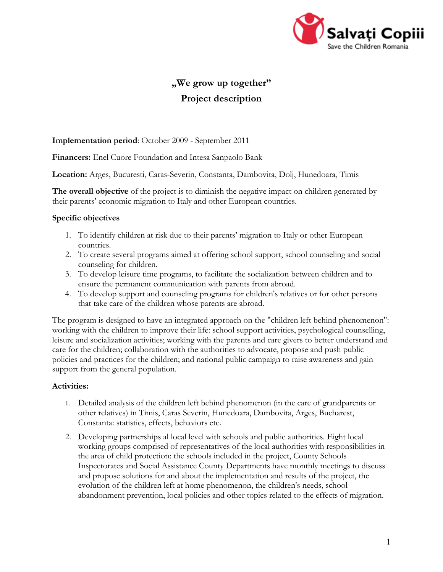

# **"We grow up together" Project description**

# **Implementation period**: October 2009 - September 2011

**Financers:** Enel Cuore Foundation and Intesa Sanpaolo Bank

**Location:** Arges, Bucuresti, Caras-Severin, Constanta, Dambovita, Dolj, Hunedoara, Timis

**The overall objective** of the project is to diminish the negative impact on children generated by their parents' economic migration to Italy and other European countries.

### **Specific objectives**

- 1. To identify children at risk due to their parents' migration to Italy or other European countries.
- 2. To create several programs aimed at offering school support, school counseling and social counseling for children.
- 3. To develop leisure time programs, to facilitate the socialization between children and to ensure the permanent communication with parents from abroad.
- 4. To develop support and counseling programs for children's relatives or for other persons that take care of the children whose parents are abroad.

The program is designed to have an integrated approach on the "children left behind phenomenon": working with the children to improve their life: school support activities, psychological counselling, leisure and socialization activities; working with the parents and care givers to better understand and care for the children; collaboration with the authorities to advocate, propose and push public policies and practices for the children; and national public campaign to raise awareness and gain support from the general population.

# **Activities:**

- 1. Detailed analysis of the children left behind phenomenon (in the care of grandparents or other relatives) in Timis, Caras Severin, Hunedoara, Dambovita, Arges, Bucharest, Constanta: statistics, effects, behaviors etc.
- 2. Developing partnerships al local level with schools and public authorities. Eight local working groups comprised of representatives of the local authorities with responsibilities in the area of child protection: the schools included in the project, County Schools Inspectorates and Social Assistance County Departments have monthly meetings to discuss and propose solutions for and about the implementation and results of the project, the evolution of the children left at home phenomenon, the children's needs, school abandonment prevention, local policies and other topics related to the effects of migration.